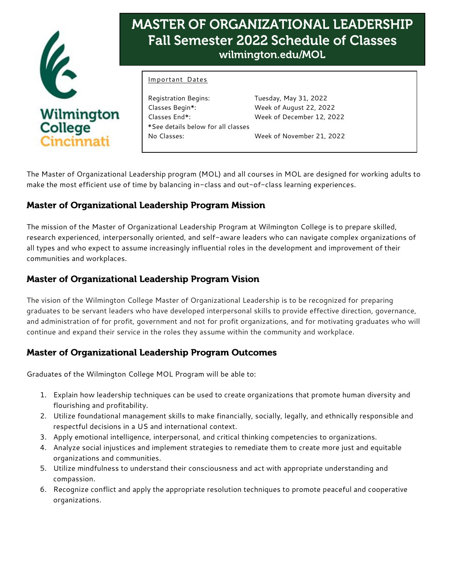

# MASTER OF ORGANIZATIONAL LEADERSHIP **Fall Semester 2022 Schedule of Classes** wilmington.edu/MOL

#### Important Dates

Registration Begins: Tuesday, May 31, 2022 Classes Begin\*: Week of August 22, 2022 Classes End\*: Week of December 12, 2022 \*See details below for all classes No Classes: Week of November 21, 2022

The Master of Organizational Leadership program (MOL) and all courses in MOL are designed for working adults to make the most efficient use of time by balancing in-class and out-of-class learning experiences.

# **Master of Organizational Leadership Program Mission**

The mission of the Master of Organizational Leadership Program at Wilmington College is to prepare skilled, research experienced, interpersonally oriented, and self-aware leaders who can navigate complex organizations of all types and who expect to assume increasingly influential roles in the development and improvement of their communities and workplaces.

# **Master of Organizational Leadership Program Vision**

The vision of the Wilmington College Master of Organizational Leadership is to be recognized for preparing graduates to be servant leaders who have developed interpersonal skills to provide effective direction, governance, and administration of for profit, government and not for profit organizations, and for motivating graduates who will continue and expand their service in the roles they assume within the community and workplace.

# **Master of Organizational Leadership Program Outcomes**

Graduates of the Wilmington College MOL Program will be able to:

- 1. Explain how leadership techniques can be used to create organizations that promote human diversity and flourishing and profitability.
- 2. Utilize foundational management skills to make financially, socially, legally, and ethnically responsible and respectful decisions in a US and international context.
- 3. Apply emotional intelligence, interpersonal, and critical thinking competencies to organizations.
- 4. Analyze social injustices and implement strategies to remediate them to create more just and equitable organizations and communities.
- 5. Utilize mindfulness to understand their consciousness and act with appropriate understanding and compassion.
- 6. Recognize conflict and apply the appropriate resolution techniques to promote peaceful and cooperative organizations.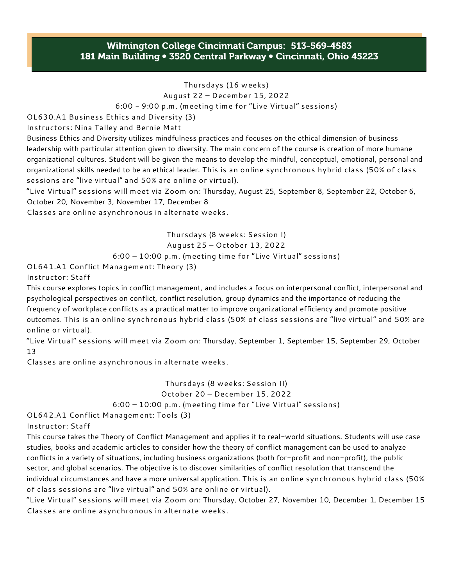## Wilmington College Cincinnati Campus: 513-569-4583 181 Main Building • 3520 Central Parkway • Cincinnati, Ohio 45223

Thursdays (16 weeks)

August 22 – December 15, 2022

6:00 - 9:00 p.m. (meeting time for "Live Virtual" sessions)

OL630.A1 Business Ethics and Diversity (3)

Instructors: Nina Talley and Bernie Matt

Business Ethics and Diversity utilizes mindfulness practices and focuses on the ethical dimension of business leadership with particular attention given to diversity. The main concern of the course is creation of more humane organizational cultures. Student will be given the means to develop the mindful, conceptual, emotional, personal and organizational skills needed to be an ethical leader. This is an online synchronous hybrid class (50% of class sessions are "live virtual" and 50% are online or virtual).

"Live Virtual" sessions will meet via Zoom on: Thursday, August 25, September 8, September 22, October 6, October 20, November 3, November 17, December 8

Classes are online asynchronous in alternate weeks.

Thursdays (8 weeks: Session I) August 25 – October 13, 2022 6:00 – 10:00 p.m. (meeting time for "Live Virtual" sessions)

OL641.A1 Conflict Management: Theory (3)

Instructor: Staff

This course explores topics in conflict management, and includes a focus on interpersonal conflict, interpersonal and psychological perspectives on conflict, conflict resolution, group dynamics and the importance of reducing the frequency of workplace conflicts as a practical matter to improve organizational efficiency and promote positive outcomes. This is an online synchronous hybrid class (50% of class sessions are "live virtual" and 50% are online or virtual).

"Live Virtual" sessions will meet via Zoom on: Thursday, September 1, September 15, September 29, October 13

Classes are online asynchronous in alternate weeks.

Thursdays (8 weeks: Session II) October 20 – December 15, 2022 6:00 – 10:00 p.m. (meeting time for "Live Virtual" sessions)

OL642.A1 Conflict Management: Tools (3)

Instructor: Staff

This course takes the Theory of Conflict Management and applies it to real-world situations. Students will use case studies, books and academic articles to consider how the theory of conflict management can be used to analyze conflicts in a variety of situations, including business organizations (both for-profit and non-profit), the public sector, and global scenarios. The objective is to discover similarities of conflict resolution that transcend the individual circumstances and have a more universal application. This is an online synchronous hybrid class (50% of class sessions are "live virtual" and 50% are online or virtual).

"Live Virtual" sessions will meet via Zoom on: Thursday, October 27, November 10, December 1, December 15 Classes are online asynchronous in alternate weeks.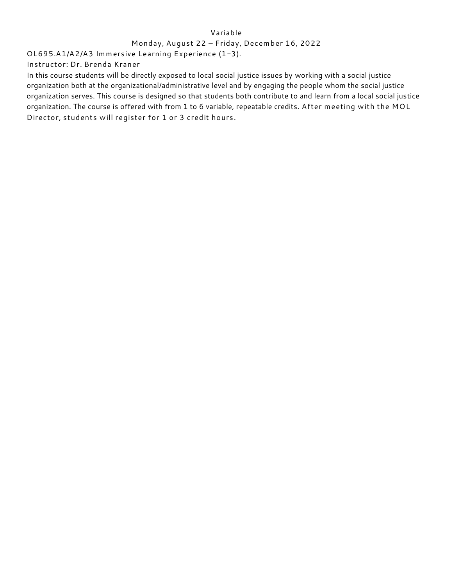#### Variable

#### Monday, August 22 – Friday, December 16, 2022

OL695.A1/A2/A3 Immersive Learning Experience (1-3).

Instructor: Dr. Brenda Kraner

In this course students will be directly exposed to local social justice issues by working with a social justice organization both at the organizational/administrative level and by engaging the people whom the social justice organization serves. This course is designed so that students both contribute to and learn from a local social justice organization. The course is offered with from 1 to 6 variable, repeatable credits. After meeting with the MOL Director, students will register for 1 or 3 credit hours.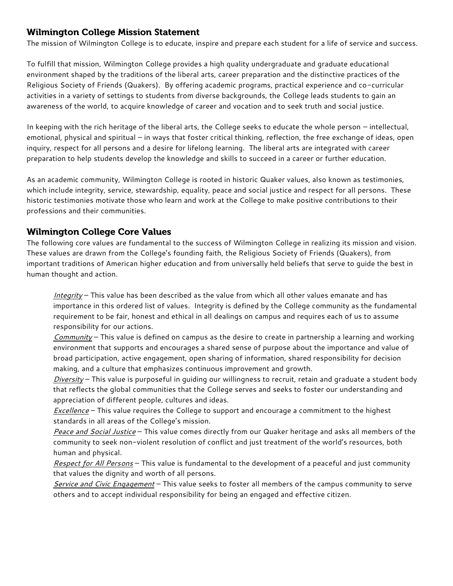## **Wilmington College Mission Statement**

The mission of Wilmington College is to educate, inspire and prepare each student for a life of service and success.

To fulfill that mission, Wilmington College provides a high quality undergraduate and graduate educational environment shaped by the traditions of the liberal arts, career preparation and the distinctive practices of the Religious Society of Friends (Quakers). By offering academic programs, practical experience and co-curricular activities in a variety of settings to students from diverse backgrounds, the College leads students to gain an awareness of the world, to acquire knowledge of career and vocation and to seek truth and social justice.

In keeping with the rich heritage of the liberal arts, the College seeks to educate the whole person – intellectual, emotional, physical and spiritual – in ways that foster critical thinking, reflection, the free exchange of ideas, open inquiry, respect for all persons and a desire for lifelong learning. The liberal arts are integrated with career preparation to help students develop the knowledge and skills to succeed in a career or further education.

As an academic community, Wilmington College is rooted in historic Quaker values, also known as testimonies, which include integrity, service, stewardship, equality, peace and social justice and respect for all persons. These historic testimonies motivate those who learn and work at the College to make positive contributions to their professions and their communities.

## **Wilmington College Core Values**

The following core values are fundamental to the success of Wilmington College in realizing its mission and vision. These values are drawn from the College's founding faith, the Religious Society of Friends (Quakers), from important traditions of American higher education and from universally held beliefs that serve to guide the best in human thought and action.

*Integrity* – This value has been described as the value from which all other values emanate and has importance in this ordered list of values. Integrity is defined by the College community as the fundamental requirement to be fair, honest and ethical in all dealings on campus and requires each of us to assume responsibility for our actions.

*Community* – This value is defined on campus as the desire to create in partnership a learning and working environment that supports and encourages a shared sense of purpose about the importance and value of broad participation, active engagement, open sharing of information, shared responsibility for decision making, and a culture that emphasizes continuous improvement and growth.

*Diversity* – This value is purposeful in guiding our willingness to recruit, retain and graduate a student body that reflects the global communities that the College serves and seeks to foster our understanding and appreciation of different people, cultures and ideas.

*Excellence* – This value requires the College to support and encourage a commitment to the highest standards in all areas of the College's mission.

*Peace and Social Justice* – This value comes directly from our Quaker heritage and asks all members of the community to seek non-violent resolution of conflict and just treatment of the world's resources, both human and physical.

*Respect for All Persons* – This value is fundamental to the development of a peaceful and just community that values the dignity and worth of all persons.

*Service and Civic Engagement* – This value seeks to foster all members of the campus community to serve others and to accept individual responsibility for being an engaged and effective citizen.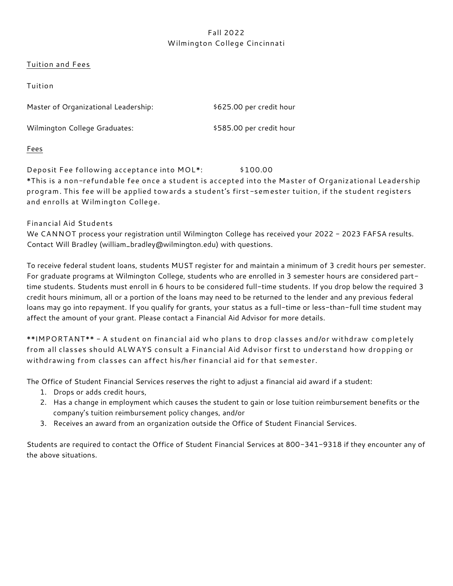## Fall 2022 Wilmington College Cincinnati

#### Tuition and Fees

| Tuition                              |                          |
|--------------------------------------|--------------------------|
| Master of Organizational Leadership: | \$625.00 per credit hour |
| Wilmington College Graduates:        | \$585.00 per credit hour |

Fees

Deposit Fee following acceptance into MOL\*: \$100.00 \*This is a non-refundable fee once a student is accepted into the Master of Organizational Leadership program. This fee will be applied towards a student's first-semester tuition, if the student registers and enrolls at Wilmington College.

Financial Aid Students

We CANNOT process your registration until Wilmington College has received your 2022 - 2023 FAFSA results. Contact Will Bradley (william\_bradley@wilmington.edu) with questions.

To receive federal student loans, students MUST register for and maintain a minimum of 3 credit hours per semester. For graduate programs at Wilmington College, students who are enrolled in 3 semester hours are considered parttime students. Students must enroll in 6 hours to be considered full-time students. If you drop below the required 3 credit hours minimum, all or a portion of the loans may need to be returned to the lender and any previous federal loans may go into repayment. If you qualify for grants, your status as a full-time or less-than-full time student may affect the amount of your grant. Please contact a Financial Aid Advisor for more details.

\*\*IMPORTANT\*\* - A student on financial aid who plans to drop classes and/or withdraw completely from all classes should ALWAYS consult a Financial Aid Advisor first to understand how dropping or withdrawing from classes can affect his/her financial aid for that semester.

The Office of Student Financial Services reserves the right to adjust a financial aid award if a student:

- 1. Drops or adds credit hours,
- 2. Has a change in employment which causes the student to gain or lose tuition reimbursement benefits or the company's tuition reimbursement policy changes, and/or
- 3. Receives an award from an organization outside the Office of Student Financial Services.

Students are required to contact the Office of Student Financial Services at 800-341-9318 if they encounter any of the above situations.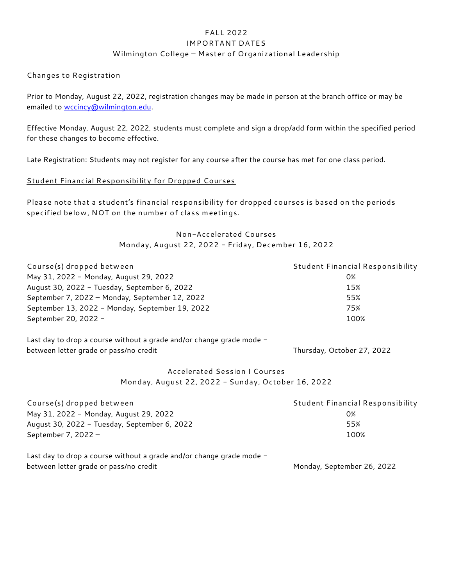## FALL 2022 IMPORTANT DATES Wilmington College – Master of Organizational Leadership

#### Changes to Registration

Prior to Monday, August 22, 2022, registration changes may be made in person at the branch office or may be emailed to [wccincy@wilmington.edu.](mailto:wccincy@wilmington.edu)

Effective Monday, August 22, 2022, students must complete and sign a drop/add form within the specified period for these changes to become effective.

Late Registration: Students may not register for any course after the course has met for one class period.

#### Student Financial Responsibility for Dropped Courses

Please note that a student's financial responsibility for dropped courses is based on the periods specified below, NOT on the number of class meetings.

### Non-Accelerated Courses Monday, August 22, 2022 - Friday, December 16, 2022

| Course(s) dropped between                       | Student Financial Responsibility |
|-------------------------------------------------|----------------------------------|
| May 31, 2022 - Monday, August 29, 2022          | 0%                               |
| August 30, 2022 - Tuesday, September 6, 2022    | 15%                              |
| September 7, 2022 - Monday, September 12, 2022  | 55%                              |
| September 13, 2022 - Monday, September 19, 2022 | 75%                              |
| September 20, 2022 -                            | 100%                             |

Last day to drop a course without a grade and/or change grade mode between letter grade or pass/no credit Thursday, October 27, 2022

> Accelerated Session I Courses Monday, August 22, 2022 - Sunday, October 16, 2022

| Course(s) dropped between                                            | <b>Student Financial Responsibility</b> |
|----------------------------------------------------------------------|-----------------------------------------|
| May 31, 2022 - Monday, August 29, 2022                               | 0%                                      |
| August 30, 2022 - Tuesday, September 6, 2022                         | 55%                                     |
| September 7, 2022 $-$                                                | 100%                                    |
| Last day to drop a course without a grade and/or change grade mode - |                                         |

between letter grade or pass/no credit Monday, September 26, 2022